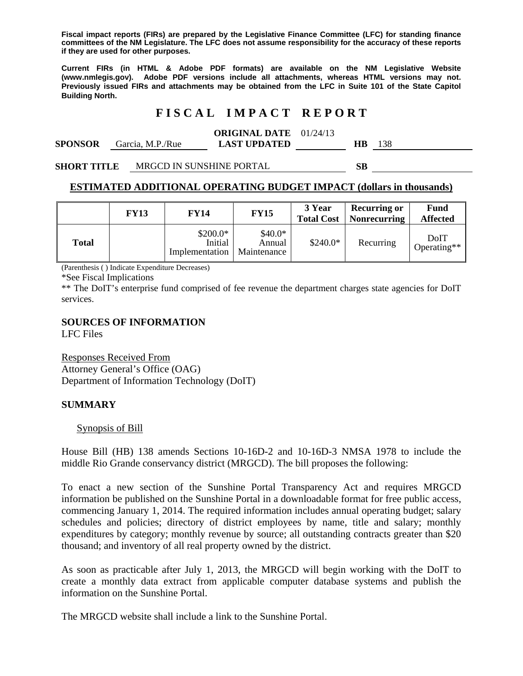**Fiscal impact reports (FIRs) are prepared by the Legislative Finance Committee (LFC) for standing finance committees of the NM Legislature. The LFC does not assume responsibility for the accuracy of these reports if they are used for other purposes.** 

**Current FIRs (in HTML & Adobe PDF formats) are available on the NM Legislative Website (www.nmlegis.gov). Adobe PDF versions include all attachments, whereas HTML versions may not. Previously issued FIRs and attachments may be obtained from the LFC in Suite 101 of the State Capitol Building North.**

## **F I S C A L I M P A C T R E P O R T**

#### **ORIGINAL DATE**  01/24/13

| <b>SPONSOR</b> | Garcia, M.P./Rue | <b>LAST UPDATED</b> |  |
|----------------|------------------|---------------------|--|
|                |                  |                     |  |

**SHORT TITLE** MRGCD IN SUNSHINE PORTAL **SB** 

#### **ESTIMATED ADDITIONAL OPERATING BUDGET IMPACT (dollars in thousands)**

|              | <b>FY13</b> | <b>FY14</b>                            | <b>FY15</b>                       | 3 Year<br><b>Total Cost</b> | <b>Recurring or</b><br><b>Nonrecurring</b> | <b>Fund</b><br><b>Affected</b> |
|--------------|-------------|----------------------------------------|-----------------------------------|-----------------------------|--------------------------------------------|--------------------------------|
| <b>Total</b> |             | $$200.0*$<br>Initial<br>Implementation | $$40.0*$<br>Annual<br>Maintenance | $$240.0*$                   | Recurring                                  | DoIT<br>Operating**            |

(Parenthesis ( ) Indicate Expenditure Decreases)

\*See Fiscal Implications

\*\* The DoIT's enterprise fund comprised of fee revenue the department charges state agencies for DoIT services.

### **SOURCES OF INFORMATION**

LFC Files

Responses Received From Attorney General's Office (OAG) Department of Information Technology (DoIT)

### **SUMMARY**

#### Synopsis of Bill

House Bill (HB) 138 amends Sections 10-16D-2 and 10-16D-3 NMSA 1978 to include the middle Rio Grande conservancy district (MRGCD). The bill proposes the following:

To enact a new section of the Sunshine Portal Transparency Act and requires MRGCD information be published on the Sunshine Portal in a downloadable format for free public access, commencing January 1, 2014. The required information includes annual operating budget; salary schedules and policies; directory of district employees by name, title and salary; monthly expenditures by category; monthly revenue by source; all outstanding contracts greater than \$20 thousand; and inventory of all real property owned by the district.

As soon as practicable after July 1, 2013, the MRGCD will begin working with the DoIT to create a monthly data extract from applicable computer database systems and publish the information on the Sunshine Portal.

The MRGCD website shall include a link to the Sunshine Portal.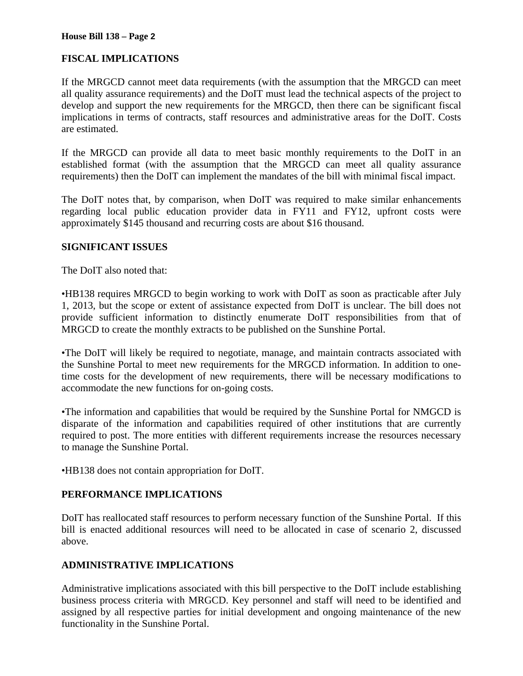# **FISCAL IMPLICATIONS**

If the MRGCD cannot meet data requirements (with the assumption that the MRGCD can meet all quality assurance requirements) and the DoIT must lead the technical aspects of the project to develop and support the new requirements for the MRGCD, then there can be significant fiscal implications in terms of contracts, staff resources and administrative areas for the DoIT. Costs are estimated.

If the MRGCD can provide all data to meet basic monthly requirements to the DoIT in an established format (with the assumption that the MRGCD can meet all quality assurance requirements) then the DoIT can implement the mandates of the bill with minimal fiscal impact.

The DoIT notes that, by comparison, when DoIT was required to make similar enhancements regarding local public education provider data in FY11 and FY12, upfront costs were approximately \$145 thousand and recurring costs are about \$16 thousand.

## **SIGNIFICANT ISSUES**

The DoIT also noted that:

•HB138 requires MRGCD to begin working to work with DoIT as soon as practicable after July 1, 2013, but the scope or extent of assistance expected from DoIT is unclear. The bill does not provide sufficient information to distinctly enumerate DoIT responsibilities from that of MRGCD to create the monthly extracts to be published on the Sunshine Portal.

•The DoIT will likely be required to negotiate, manage, and maintain contracts associated with the Sunshine Portal to meet new requirements for the MRGCD information. In addition to onetime costs for the development of new requirements, there will be necessary modifications to accommodate the new functions for on-going costs.

•The information and capabilities that would be required by the Sunshine Portal for NMGCD is disparate of the information and capabilities required of other institutions that are currently required to post. The more entities with different requirements increase the resources necessary to manage the Sunshine Portal.

•HB138 does not contain appropriation for DoIT.

## **PERFORMANCE IMPLICATIONS**

DoIT has reallocated staff resources to perform necessary function of the Sunshine Portal. If this bill is enacted additional resources will need to be allocated in case of scenario 2, discussed above.

# **ADMINISTRATIVE IMPLICATIONS**

Administrative implications associated with this bill perspective to the DoIT include establishing business process criteria with MRGCD. Key personnel and staff will need to be identified and assigned by all respective parties for initial development and ongoing maintenance of the new functionality in the Sunshine Portal.